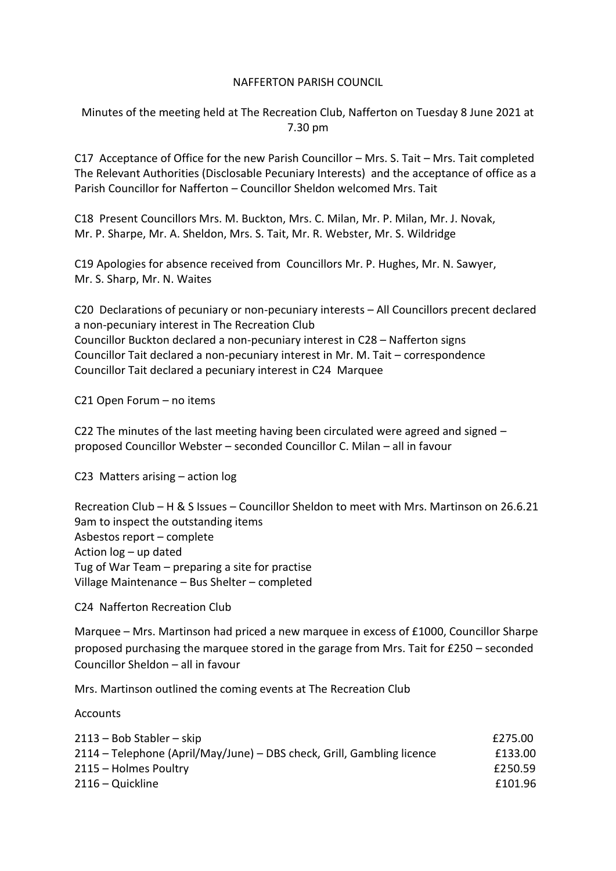## NAFFERTON PARISH COUNCIL

Minutes of the meeting held at The Recreation Club, Nafferton on Tuesday 8 June 2021 at 7.30 pm

C17 Acceptance of Office for the new Parish Councillor – Mrs. S. Tait – Mrs. Tait completed The Relevant Authorities (Disclosable Pecuniary Interests) and the acceptance of office as a Parish Councillor for Nafferton – Councillor Sheldon welcomed Mrs. Tait

C18 Present Councillors Mrs. M. Buckton, Mrs. C. Milan, Mr. P. Milan, Mr. J. Novak, Mr. P. Sharpe, Mr. A. Sheldon, Mrs. S. Tait, Mr. R. Webster, Mr. S. Wildridge

C19 Apologies for absence received from Councillors Mr. P. Hughes, Mr. N. Sawyer, Mr. S. Sharp, Mr. N. Waites

C20 Declarations of pecuniary or non-pecuniary interests – All Councillors precent declared a non-pecuniary interest in The Recreation Club Councillor Buckton declared a non-pecuniary interest in C28 – Nafferton signs Councillor Tait declared a non-pecuniary interest in Mr. M. Tait – correspondence Councillor Tait declared a pecuniary interest in C24 Marquee

C21 Open Forum – no items

C22 The minutes of the last meeting having been circulated were agreed and signed – proposed Councillor Webster – seconded Councillor C. Milan – all in favour

C23 Matters arising – action log

Recreation Club – H & S Issues – Councillor Sheldon to meet with Mrs. Martinson on 26.6.21 9am to inspect the outstanding items Asbestos report – complete Action log – up dated Tug of War Team – preparing a site for practise Village Maintenance – Bus Shelter – completed

C24 Nafferton Recreation Club

Marquee – Mrs. Martinson had priced a new marquee in excess of £1000, Councillor Sharpe proposed purchasing the marquee stored in the garage from Mrs. Tait for £250 – seconded Councillor Sheldon – all in favour

Mrs. Martinson outlined the coming events at The Recreation Club

**Accounts** 

| $2113 - Bob Stabler - skip$                                            | £275.00 |
|------------------------------------------------------------------------|---------|
| 2114 – Telephone (April/May/June) – DBS check, Grill, Gambling licence | £133.00 |
| 2115 – Holmes Poultry                                                  | £250.59 |
| 2116 – Quickline                                                       | £101.96 |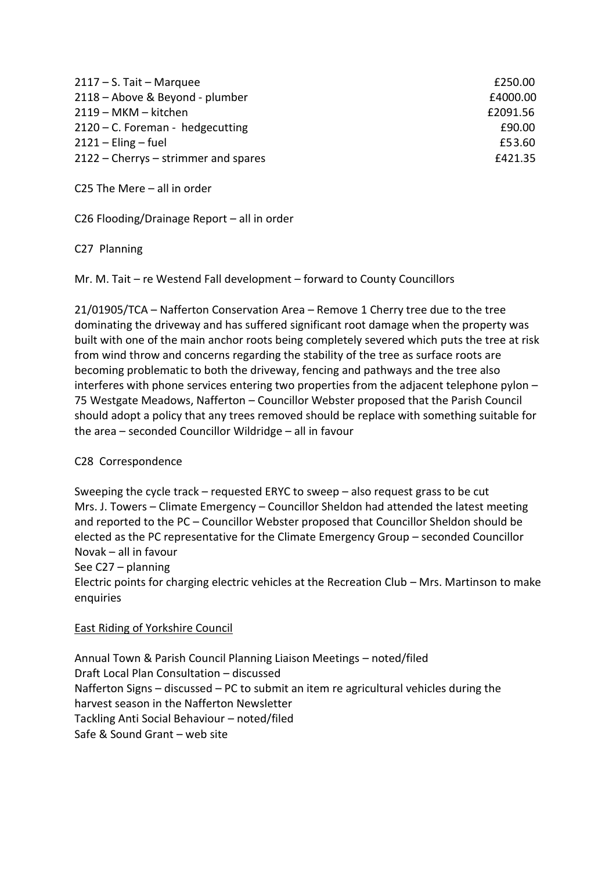| $2117 - S.$ Tait - Marquee           | £250.00  |
|--------------------------------------|----------|
| 2118 - Above & Beyond - plumber      | £4000.00 |
| 2119 - MKM - kitchen                 | £2091.56 |
| $2120 - C.$ Foreman - hedgecutting   | £90.00   |
| $2121 -$ Eling – fuel                | £53.60   |
| 2122 – Cherrys – strimmer and spares | £421.35  |

C25 The Mere – all in order

C26 Flooding/Drainage Report – all in order

C27 Planning

Mr. M. Tait – re Westend Fall development – forward to County Councillors

21/01905/TCA – Nafferton Conservation Area – Remove 1 Cherry tree due to the tree dominating the driveway and has suffered significant root damage when the property was built with one of the main anchor roots being completely severed which puts the tree at risk from wind throw and concerns regarding the stability of the tree as surface roots are becoming problematic to both the driveway, fencing and pathways and the tree also interferes with phone services entering two properties from the adjacent telephone pylon – 75 Westgate Meadows, Nafferton – Councillor Webster proposed that the Parish Council should adopt a policy that any trees removed should be replace with something suitable for the area – seconded Councillor Wildridge – all in favour

## C28 Correspondence

Sweeping the cycle track – requested ERYC to sweep – also request grass to be cut Mrs. J. Towers – Climate Emergency – Councillor Sheldon had attended the latest meeting and reported to the PC – Councillor Webster proposed that Councillor Sheldon should be elected as the PC representative for the Climate Emergency Group – seconded Councillor Novak – all in favour See C27 – planning

Electric points for charging electric vehicles at the Recreation Club – Mrs. Martinson to make enquiries

## East Riding of Yorkshire Council

Annual Town & Parish Council Planning Liaison Meetings – noted/filed Draft Local Plan Consultation – discussed Nafferton Signs – discussed – PC to submit an item re agricultural vehicles during the harvest season in the Nafferton Newsletter Tackling Anti Social Behaviour – noted/filed Safe & Sound Grant – web site